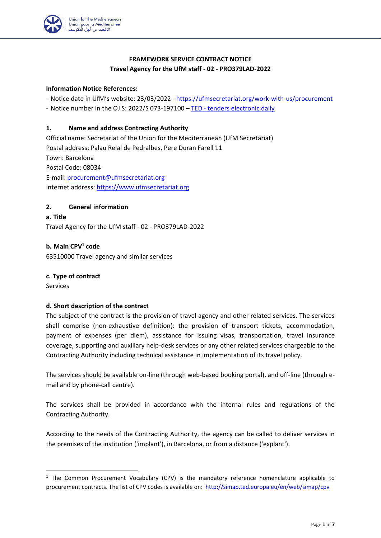

# **FRAMEWORK SERVICE CONTRACT NOTICE Travel Agency for the UfM staff - 02 - PRO379LAD-2022**

#### **Information Notice References:**

- Notice date in UfM's website: 23/03/2022 - [https://ufmsecretariat.org/work-with-us/procurement](https://ufmsecretariat.org/work-with-us/procurement/)

- Notice number in the OJ S: 2022/S 073-197100 – TED - [tenders electronic daily](https://ted.europa.eu/udl?uri=TED:NOTICE:197100-2022:TEXT:EN:HTML)

#### **1. Name and address Contracting Authority**

Official name: Secretariat of the Union for the Mediterranean (UfM Secretariat) Postal address: Palau Reial de Pedralbes, Pere Duran Farell 11 Town: Barcelona Postal Code: 08034 E-mail: [procurement@ufmsecretariat.org](mailto:procurement@ufmsecretariat.org) Internet address: [https://www.ufmsecretariat.org](https://www.ufmsecretariat.org/)

# **2. General information**

**a. Title** Travel Agency for the UfM staff - 02 - PRO379LAD-2022

#### **b. Main CPV<sup>1</sup> code**

63510000 Travel agency and similar services

#### **c. Type of contract**

Services

#### **d. Short description of the contract**

The subject of the contract is the provision of travel agency and other related services. The services shall comprise (non-exhaustive definition): the provision of transport tickets, accommodation, payment of expenses (per diem), assistance for issuing visas, transportation, travel insurance coverage, supporting and auxiliary help-desk services or any other related services chargeable to the Contracting Authority including technical assistance in implementation of its travel policy.

The services should be available on-line (through web-based booking portal), and off-line (through email and by phone-call centre).

The services shall be provided in accordance with the internal rules and regulations of the Contracting Authority.

According to the needs of the Contracting Authority, the agency can be called to deliver services in the premises of the institution ('implant'), in Barcelona, or from a distance ('explant').

 $1$  The Common Procurement Vocabulary (CPV) is the mandatory reference nomenclature applicable to procurement contracts. The list of CPV codes is available on:<http://simap.ted.europa.eu/en/web/simap/cpv>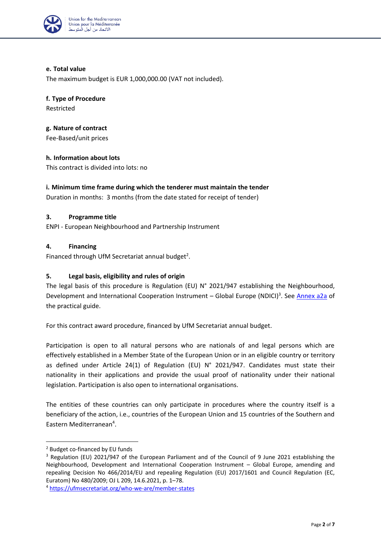

# **e. Total value**

The maximum budget is EUR 1,000,000.00 (VAT not included).

**f. Type of Procedure** Restricted

**g. Nature of contract** Fee-Based/unit prices

# **h. Information about lots**

This contract is divided into lots: no

# **i. Minimum time frame during which the tenderer must maintain the tender**

Duration in months: 3 months (from the date stated for receipt of tender)

#### **3. Programme title**

ENPI - European Neighbourhood and Partnership Instrument

#### **4. Financing**

Financed through UfM Secretariat annual budget<sup>2</sup>.

# **5. Legal basis, eligibility and rules of origin**

The legal basis of this procedure is Regulation (EU) N° 2021/947 establishing the Neighbourhood, Development and International Cooperation Instrument - Global Europe (NDICI)<sup>3</sup>. See *Annex a2a* of the practical guide.

For this contract award procedure, financed by UfM Secretariat annual budget.

Participation is open to all natural persons who are nationals of and legal persons which are effectively established in a Member State of the European Union or in an eligible country or territory as defined under Article 24(1) of Regulation (EU) N° 2021/947. Candidates must state their nationality in their applications and provide the usual proof of nationality under their national legislation. Participation is also open to international organisations.

The entities of these countries can only participate in procedures where the country itself is a beneficiary of the action, i.e., countries of the European Union and 15 countries of the Southern and Eastern Mediterranean<sup>4</sup>.

<sup>2</sup> Budget co-financed by EU funds

<sup>&</sup>lt;sup>3</sup> Regulation (EU) 2021/947 of the European Parliament and of the Council of 9 June 2021 establishing the Neighbourhood, Development and International Cooperation Instrument – Global Europe, amending and repealing Decision No 466/2014/EU and repealing Regulation (EU) 2017/1601 and Council Regulation (EC, Euratom) No 480/2009; OJ L 209, 14.6.2021, p. 1–78.

<sup>4</sup> <https://ufmsecretariat.org/who-we-are/member-states>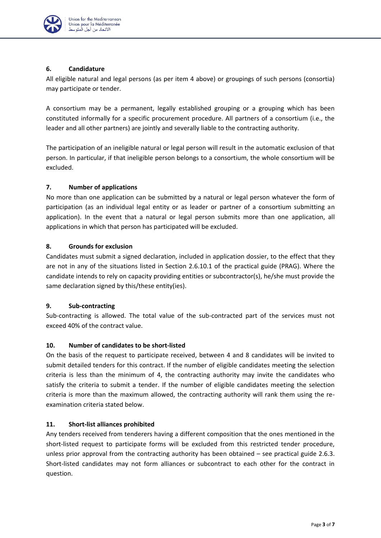

# **6. Candidature**

All eligible natural and legal persons (as per item 4 above) or groupings of such persons (consortia) may participate or tender.

A consortium may be a permanent, legally established grouping or a grouping which has been constituted informally for a specific procurement procedure. All partners of a consortium (i.e., the leader and all other partners) are jointly and severally liable to the contracting authority.

The participation of an ineligible natural or legal person will result in the automatic exclusion of that person. In particular, if that ineligible person belongs to a consortium, the whole consortium will be excluded.

# **7. Number of applications**

No more than one application can be submitted by a natural or legal person whatever the form of participation (as an individual legal entity or as leader or partner of a consortium submitting an application). In the event that a natural or legal person submits more than one application, all applications in which that person has participated will be excluded.

# **8. Grounds for exclusion**

Candidates must submit a signed declaration, included in application dossier, to the effect that they are not in any of the situations listed in Section 2.6.10.1 of the practical guide (PRAG). Where the candidate intends to rely on capacity providing entities or subcontractor(s), he/she must provide the same declaration signed by this/these entity(ies).

# **9. Sub-contracting**

Sub-contracting is allowed. The total value of the sub-contracted part of the services must not exceed 40% of the contract value.

# **10. Number of candidates to be short-listed**

On the basis of the request to participate received, between 4 and 8 candidates will be invited to submit detailed tenders for this contract. If the number of eligible candidates meeting the selection criteria is less than the minimum of 4, the contracting authority may invite the candidates who satisfy the criteria to submit a tender. If the number of eligible candidates meeting the selection criteria is more than the maximum allowed, the contracting authority will rank them using the reexamination criteria stated below.

# **11. Short-list alliances prohibited**

Any tenders received from tenderers having a different composition that the ones mentioned in the short-listed request to participate forms will be excluded from this restricted tender procedure, unless prior approval from the contracting authority has been obtained – see practical guide 2.6.3. Short-listed candidates may not form alliances or subcontract to each other for the contract in question.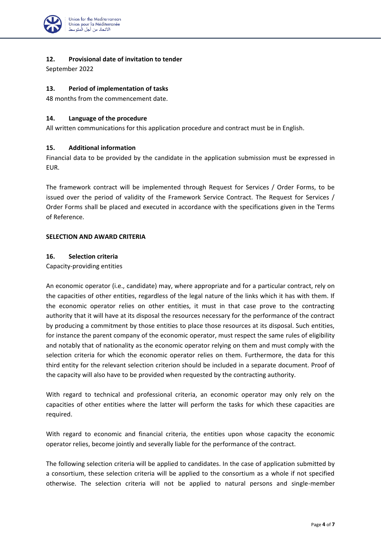

#### **12. Provisional date of invitation to tender**

September 2022

#### **13. Period of implementation of tasks**

48 months from the commencement date.

#### **14. Language of the procedure**

All written communications for this application procedure and contract must be in English.

#### **15. Additional information**

Financial data to be provided by the candidate in the application submission must be expressed in EUR.

The framework contract will be implemented through Request for Services / Order Forms, to be issued over the period of validity of the Framework Service Contract. The Request for Services / Order Forms shall be placed and executed in accordance with the specifications given in the Terms of Reference.

#### **SELECTION AND AWARD CRITERIA**

#### **16. Selection criteria**

Capacity-providing entities

An economic operator (i.e., candidate) may, where appropriate and for a particular contract, rely on the capacities of other entities, regardless of the legal nature of the links which it has with them. If the economic operator relies on other entities, it must in that case prove to the contracting authority that it will have at its disposal the resources necessary for the performance of the contract by producing a commitment by those entities to place those resources at its disposal. Such entities, for instance the parent company of the economic operator, must respect the same rules of eligibility and notably that of nationality as the economic operator relying on them and must comply with the selection criteria for which the economic operator relies on them. Furthermore, the data for this third entity for the relevant selection criterion should be included in a separate document. Proof of the capacity will also have to be provided when requested by the contracting authority.

With regard to technical and professional criteria, an economic operator may only rely on the capacities of other entities where the latter will perform the tasks for which these capacities are required.

With regard to economic and financial criteria, the entities upon whose capacity the economic operator relies, become jointly and severally liable for the performance of the contract.

The following selection criteria will be applied to candidates. In the case of application submitted by a consortium, these selection criteria will be applied to the consortium as a whole if not specified otherwise. The selection criteria will not be applied to natural persons and single-member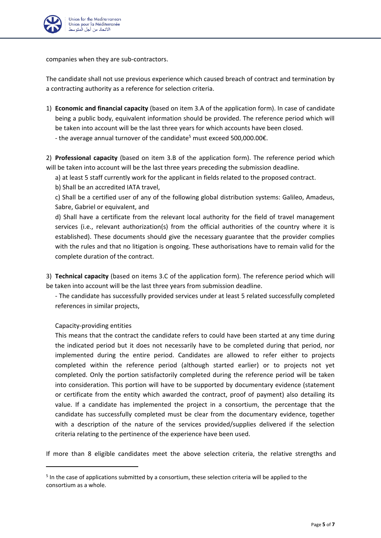

companies when they are sub-contractors.

The candidate shall not use previous experience which caused breach of contract and termination by a contracting authority as a reference for selection criteria.

- 1) **Economic and financial capacity** (based on item 3.A of the application form). In case of candidate being a public body, equivalent information should be provided. The reference period which will be taken into account will be the last three years for which accounts have been closed.
	- the average annual turnover of the candidate<sup>5</sup> must exceed 500,000.00€.

2) **Professional capacity** (based on item 3.B of the application form). The reference period which will be taken into account will be the last three years preceding the submission deadline.

a) at least 5 staff currently work for the applicant in fields related to the proposed contract.

b) Shall be an accredited IATA travel,

c) Shall be a certified user of any of the following global distribution systems: Galileo, Amadeus, Sabre, Gabriel or equivalent, and

d) Shall have a certificate from the relevant local authority for the field of travel management services (i.e., relevant authorization(s) from the official authorities of the country where it is established). These documents should give the necessary guarantee that the provider complies with the rules and that no litigation is ongoing. These authorisations have to remain valid for the complete duration of the contract.

3) **Technical capacity** (based on items 3.C of the application form). The reference period which will be taken into account will be the last three years from submission deadline.

- The candidate has successfully provided services under at least 5 related successfully completed references in similar projects,

Capacity-providing entities

This means that the contract the candidate refers to could have been started at any time during the indicated period but it does not necessarily have to be completed during that period, nor implemented during the entire period. Candidates are allowed to refer either to projects completed within the reference period (although started earlier) or to projects not yet completed. Only the portion satisfactorily completed during the reference period will be taken into consideration. This portion will have to be supported by documentary evidence (statement or certificate from the entity which awarded the contract, proof of payment) also detailing its value. If a candidate has implemented the project in a consortium, the percentage that the candidate has successfully completed must be clear from the documentary evidence, together with a description of the nature of the services provided/supplies delivered if the selection criteria relating to the pertinence of the experience have been used.

If more than 8 eligible candidates meet the above selection criteria, the relative strengths and

<sup>&</sup>lt;sup>5</sup> In the case of applications submitted by a consortium, these selection criteria will be applied to the consortium as a whole.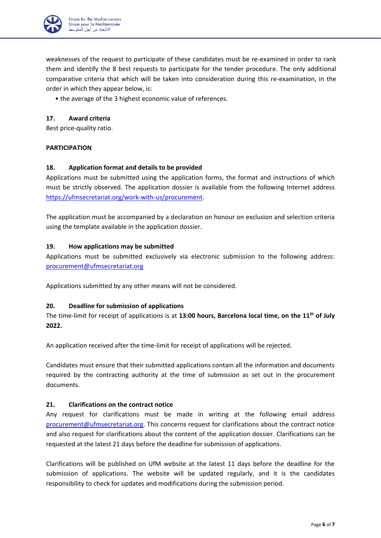

weaknesses of the request to participate of these candidates must be re-examined in order to rank them and identify the 8 best requests to participate for the tender procedure. The only additional comparative criteria that which will be taken into consideration during this re-examination, in the order in which they appear below, is:

• the average of the 3 highest economic value of references.

# **17. Award criteria**

Best price-quality ratio.

# **PARTICIPATION**

# **18. Application format and details to be provided**

Applications must be submitted using the application forms, the format and instructions of which must be strictly observed. The application dossier is available from the following Internet address [https://ufmsecretariat.org/work-with-us/procurement.](https://ufmsecretariat.org/work-with-us/procurement/)

The application must be accompanied by a declaration on honour on exclusion and selection criteria using the template available in the application dossier.

#### **19. How applications may be submitted**

Applications must be submitted exclusively via electronic submission to the following address: [procurement@ufmsecretariat.org](mailto:procurement@ufmsecretariat.org)

Applications submitted by any other means will not be considered.

#### **20. Deadline for submission of applications**

The time-limit for receipt of applications is at **13:00 hours, Barcelona local time, on the 11 th of July 2022.**

An application received after the time-limit for receipt of applications will be rejected.

Candidates must ensure that their submitted applications contain all the information and documents required by the contracting authority at the time of submission as set out in the procurement documents.

#### **21. Clarifications on the contract notice**

Any request for clarifications must be made in writing at the following email address [procurement@ufmsecretariat.org.](mailto:procurement@ufmsecretariat.org) This concerns request for clarifications about the contract notice and also request for clarifications about the content of the application dossier. Clarifications can be requested at the latest 21 days before the deadline for submission of applications.

Clarifications will be published on UfM website at the latest 11 days before the deadline for the submission of applications. The website will be updated regularly, and it is the candidates responsibility to check for updates and modifications during the submission period.